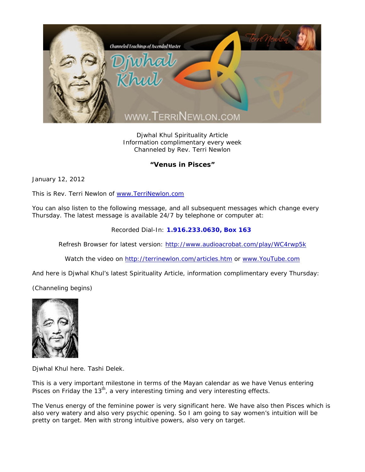

Djwhal Khul Spirituality Article Information complimentary every week Channeled by Rev. Terri Newlon

## **"Venus in Pisces"**

January 12, 2012

This is Rev. Terri Newlon of www.TerriNewlon.com

You can also listen to the following message, and all subsequent messages which change every Thursday. The latest message is available 24/7 by telephone or computer at:

Recorded Dial-In: **1.916.233.0630, Box 163** 

Refresh Browser for latest version: http://www.audioacrobat.com/play/WC4rwp5k

Watch the video on http://terrinewlon.com/articles.htm or www.YouTube.com

And here is Djwhal Khul's latest Spirituality Article, information complimentary every Thursday:

(Channeling begins)



Djwhal Khul here. Tashi Delek.

This is a very important milestone in terms of the Mayan calendar as we have Venus entering Pisces on Friday the  $13<sup>th</sup>$ , a very interesting timing and very interesting effects.

The Venus energy of the feminine power is very significant here. We have also then Pisces which is also very watery and also very psychic opening. So I am going to say women's intuition will be pretty on target. Men with strong intuitive powers, also very on target.